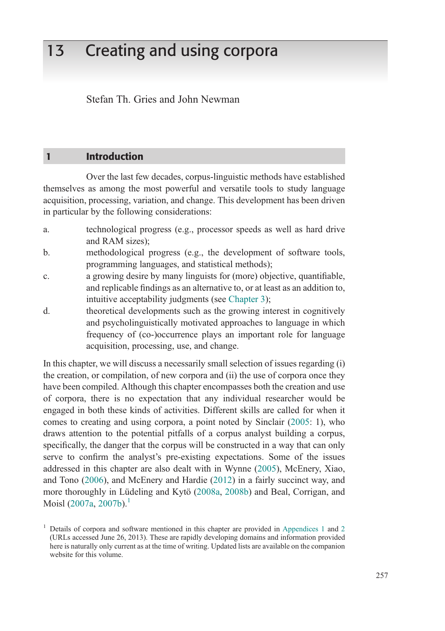# <span id="page-0-0"></span>13 Creating and using corpora

Stefan Th. Gries and John Newman

## 1 Introduction

Over the last few decades, corpus-linguistic methods have established themselves as among the most powerful and versatile tools to study language acquisition, processing, variation, and change. This development has been driven in particular by the following considerations:

- a. technological progress (e.g., processor speeds as well as hard drive and RAM sizes);
- b. methodological progress (e.g., the development of software tools, programming languages, and statistical methods);
- c. a growing desire by many linguists for (more) objective, quantifiable, and replicable findings as an alternative to, or at least as an addition to, intuitive acceptability judgments (see Chapter 3);
- d. theoretical developments such as the growing interest in cognitively and psycholinguistically motivated approaches to language in which frequency of (co-)occurrence plays an important role for language acquisition, processing, use, and change.

In this chapter, we will discuss a necessarily small selection of issues regarding (i) the creation, or compilation, of new corpora and (ii) the use of corpora once they have been compiled. Although this chapter encompasses both the creation and use of corpora, there is no expectation that any individual researcher would be engaged in both these kinds of activities. Different skills are called for when it comes to creating and using corpora, a point noted by Sinclair [\(2005](#page-30-0): 1), who draws attention to the potential pitfalls of a corpus analyst building a corpus, specifically, the danger that the corpus will be constructed in a way that can only serve to confirm the analyst's pre-existing expectations. Some of the issues addressed in this chapter are also dealt with in Wynne [\(2005](#page-30-1)), McEnery, Xiao, and Tono ([2006\)](#page-29-0), and McEnery and Hardie [\(2012](#page-29-1)) in a fairly succinct way, and more thoroughly in Lüdeling and Kytö [\(2008a,](#page-29-0) [2008b\)](#page-29-1) and Beal, Corrigan, and Moisl  $(2007a, 2007b).$  $(2007a, 2007b).$  $(2007a, 2007b).$  $(2007a, 2007b).$ <sup>1</sup>

<sup>1</sup> Details of corpora and software mentioned in this chapter are provided in [Appendices 1](#page-26-0) and [2](#page-28-1) (URLs accessed June 26, 2013). These are rapidly developing domains and information provided here is naturally only current as at the time of writing. Updated lists are available on the companion website for this volume.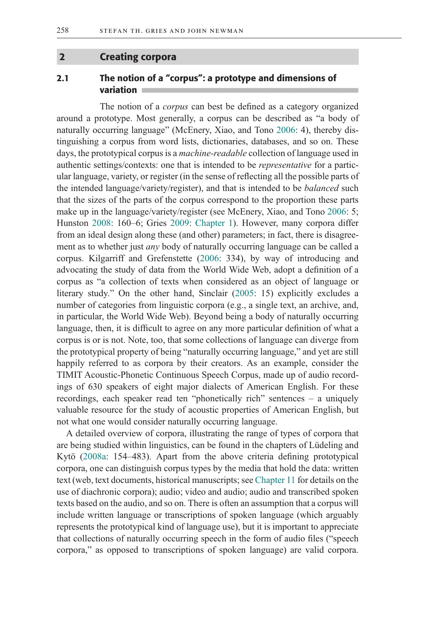### <span id="page-1-0"></span>2 Creating corpora

# 2.1 The notion of a "corpus": a prototype and dimensions of variation --------------------------------------------------------------------------------------------------------------------------------------------------------------------

The notion of a corpus can best be defined as a category organized around a prototype. Most generally, a corpus can be described as "a body of naturally occurring language" (McEnery, Xiao, and Tono [2006](#page-29-0): 4), thereby distinguishing a corpus from word lists, dictionaries, databases, and so on. These days, the prototypical corpus is a *machine-readable* collection of language used in authentic settings/contexts: one that is intended to be representative for a particular language, variety, or register (in the sense of reflecting all the possible parts of the intended language/variety/register), and that is intended to be balanced such that the sizes of the parts of the corpus correspond to the proportion these parts make up in the language/variety/register (see McEnery, Xiao, and Tono [2006:](#page-29-0) 5; Hunston [2008:](#page-29-1) 160–6; Gries [2009:](#page-29-0) Chapter 1). However, many corpora differ from an ideal design along these (and other) parameters; in fact, there is disagreement as to whether just *any* body of naturally occurring language can be called a corpus. Kilgarriff and Grefenstette ([2006:](#page-29-1) 334), by way of introducing and advocating the study of data from the World Wide Web, adopt a definition of a corpus as "a collection of texts when considered as an object of language or literary study." On the other hand, Sinclair ([2005:](#page-30-0) 15) explicitly excludes a number of categories from linguistic corpora (e.g., a single text, an archive, and, in particular, the World Wide Web). Beyond being a body of naturally occurring language, then, it is difficult to agree on any more particular definition of what a corpus is or is not. Note, too, that some collections of language can diverge from the prototypical property of being "naturally occurring language," and yet are still happily referred to as corpora by their creators. As an example, consider the TIMIT Acoustic-Phonetic Continuous Speech Corpus, made up of audio recordings of 630 speakers of eight major dialects of American English. For these recordings, each speaker read ten "phonetically rich" sentences – a uniquely valuable resource for the study of acoustic properties of American English, but not what one would consider naturally occurring language.

A detailed overview of corpora, illustrating the range of types of corpora that are being studied within linguistics, can be found in the chapters of Lüdeling and Kytö [\(2008a:](#page-29-0) 154–483). Apart from the above criteria defining prototypical corpora, one can distinguish corpus types by the media that hold the data: written text (web, text documents, historical manuscripts; see Chapter 11 for details on the use of diachronic corpora); audio; video and audio; audio and transcribed spoken texts based on the audio, and so on. There is often an assumption that a corpus will include written language or transcriptions of spoken language (which arguably represents the prototypical kind of language use), but it is important to appreciate that collections of naturally occurring speech in the form of audio files ("speech corpora," as opposed to transcriptions of spoken language) are valid corpora.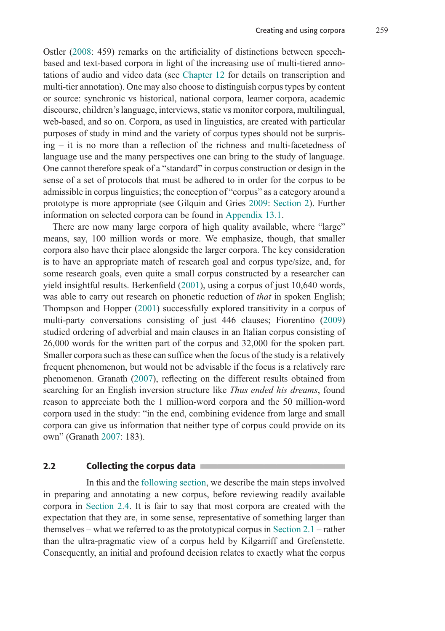Ostler [\(2008](#page-30-1): 459) remarks on the artificiality of distinctions between speechbased and text-based corpora in light of the increasing use of multi-tiered annotations of audio and video data (see Chapter 12 for details on transcription and multi-tier annotation). One may also choose to distinguish corpus types by content or source: synchronic vs historical, national corpora, learner corpora, academic discourse, children's language, interviews, static vs monitor corpora, multilingual, web-based, and so on. Corpora, as used in linguistics, are created with particular purposes of study in mind and the variety of corpus types should not be surprising – it is no more than a reflection of the richness and multi-facetedness of language use and the many perspectives one can bring to the study of language. One cannot therefore speak of a "standard" in corpus construction or design in the sense of a set of protocols that must be adhered to in order for the corpus to be admissible in corpus linguistics; the conception of "corpus" as a category around a prototype is more appropriate (see Gilquin and Gries [2009:](#page-29-0) [Section 2\)](#page-1-0). Further information on selected corpora can be found in [Appendix 13.1](#page-26-0).

There are now many large corpora of high quality available, where "large" means, say, 100 million words or more. We emphasize, though, that smaller corpora also have their place alongside the larger corpora. The key consideration is to have an appropriate match of research goal and corpus type/size, and, for some research goals, even quite a small corpus constructed by a researcher can yield insightful results. Berkenfield ([2001\)](#page-28-0), using a corpus of just 10,640 words, was able to carry out research on phonetic reduction of *that* in spoken English; Thompson and Hopper ([2001\)](#page-30-1) successfully explored transitivity in a corpus of multi-party conversations consisting of just 446 clauses; Fiorentino [\(2009](#page-29-1)) studied ordering of adverbial and main clauses in an Italian corpus consisting of 26,000 words for the written part of the corpus and 32,000 for the spoken part. Smaller corpora such as these can suffice when the focus of the study is a relatively frequent phenomenon, but would not be advisable if the focus is a relatively rare phenomenon. Granath ([2007\)](#page-29-0), reflecting on the different results obtained from searching for an English inversion structure like Thus ended his dreams, found reason to appreciate both the 1 million-word corpora and the 50 million-word corpora used in the study: "in the end, combining evidence from large and small corpora can give us information that neither type of corpus could provide on its own" (Granath [2007](#page-29-0): 183).

#### $2.2$  Collecting the corpus data  $\blacksquare$

In this and the [following section,](#page-6-0) we describe the main steps involved in preparing and annotating a new corpus, before reviewing readily available corpora in [Section 2.4](#page-12-0). It is fair to say that most corpora are created with the expectation that they are, in some sense, representative of something larger than themselves – what we referred to as the prototypical corpus in [Section 2.1](#page-1-0) – rather than the ultra-pragmatic view of a corpus held by Kilgarriff and Grefenstette. Consequently, an initial and profound decision relates to exactly what the corpus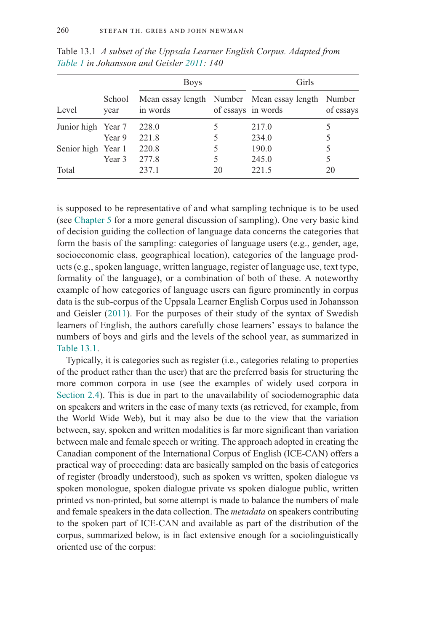|                    |                | <b>Boys</b> |                    | Girls                                             |           |
|--------------------|----------------|-------------|--------------------|---------------------------------------------------|-----------|
| Level              | School<br>year | in words    | of essays in words | Mean essay length Number Mean essay length Number | of essays |
| Junior high Year 7 |                | 228.0       |                    | 217.0                                             |           |
|                    | Year 9         | 221.8       |                    | 234.0                                             |           |
| Senior high Year 1 |                | 220.8       |                    | 190.0                                             |           |
|                    | Year 3         | 277.8       |                    | 245.0                                             | 5         |
| Total              |                | 237.1       | 20                 | 221.5                                             | 20        |

<span id="page-3-0"></span>Table 13.1 A subset of the Uppsala Learner English Corpus. Adapted from [Table 1](#page-3-0) in Johansson and Geisler [2011](#page-29-0): 140

is supposed to be representative of and what sampling technique is to be used (see Chapter 5 for a more general discussion of sampling). One very basic kind of decision guiding the collection of language data concerns the categories that form the basis of the sampling: categories of language users (e.g., gender, age, socioeconomic class, geographical location), categories of the language products (e.g., spoken language, written language, register of language use, text type, formality of the language), or a combination of both of these. A noteworthy example of how categories of language users can figure prominently in corpus data is the sub-corpus of the Uppsala Learner English Corpus used in Johansson and Geisler [\(2011](#page-29-0)). For the purposes of their study of the syntax of Swedish learners of English, the authors carefully chose learners' essays to balance the numbers of boys and girls and the levels of the school year, as summarized in [Table 13.1.](#page-21-0)

Typically, it is categories such as register (i.e., categories relating to properties of the product rather than the user) that are the preferred basis for structuring the more common corpora in use (see the examples of widely used corpora in [Section 2.4](#page-12-0)). This is due in part to the unavailability of sociodemographic data on speakers and writers in the case of many texts (as retrieved, for example, from the World Wide Web), but it may also be due to the view that the variation between, say, spoken and written modalities is far more significant than variation between male and female speech or writing. The approach adopted in creating the Canadian component of the International Corpus of English (ICE-CAN) offers a practical way of proceeding: data are basically sampled on the basis of categories of register (broadly understood), such as spoken vs written, spoken dialogue vs spoken monologue, spoken dialogue private vs spoken dialogue public, written printed vs non-printed, but some attempt is made to balance the numbers of male and female speakers in the data collection. The metadata on speakers contributing to the spoken part of ICE-CAN and available as part of the distribution of the corpus, summarized below, is in fact extensive enough for a sociolinguistically oriented use of the corpus: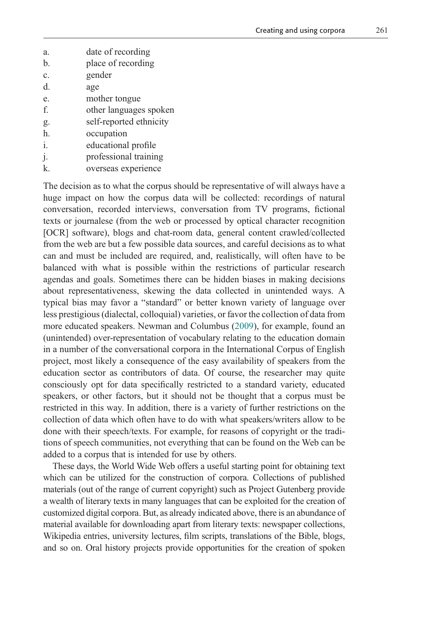| a. | date of recording       |
|----|-------------------------|
| b. | place of recording      |
| c. | gender                  |
| d. | age                     |
| e. | mother tongue           |
| f. | other languages spoken  |
| g. | self-reported ethnicity |
| h. | occupation              |
| i. | educational profile     |
| j. | professional training   |
| k. | overseas experience     |

The decision as to what the corpus should be representative of will always have a huge impact on how the corpus data will be collected: recordings of natural conversation, recorded interviews, conversation from TV programs, fictional texts or journalese (from the web or processed by optical character recognition [OCR] software), blogs and chat-room data, general content crawled/collected from the web are but a few possible data sources, and careful decisions as to what can and must be included are required, and, realistically, will often have to be balanced with what is possible within the restrictions of particular research agendas and goals. Sometimes there can be hidden biases in making decisions about representativeness, skewing the data collected in unintended ways. A typical bias may favor a "standard" or better known variety of language over less prestigious (dialectal, colloquial) varieties, or favor the collection of data from more educated speakers. Newman and Columbus [\(2009](#page-30-1)), for example, found an (unintended) over-representation of vocabulary relating to the education domain in a number of the conversational corpora in the International Corpus of English project, most likely a consequence of the easy availability of speakers from the education sector as contributors of data. Of course, the researcher may quite consciously opt for data specifically restricted to a standard variety, educated speakers, or other factors, but it should not be thought that a corpus must be restricted in this way. In addition, there is a variety of further restrictions on the collection of data which often have to do with what speakers/writers allow to be done with their speech/texts. For example, for reasons of copyright or the traditions of speech communities, not everything that can be found on the Web can be added to a corpus that is intended for use by others.

These days, the World Wide Web offers a useful starting point for obtaining text which can be utilized for the construction of corpora. Collections of published materials (out of the range of current copyright) such as Project Gutenberg provide a wealth of literary texts in many languages that can be exploited for the creation of customized digital corpora. But, as already indicated above, there is an abundance of material available for downloading apart from literary texts: newspaper collections, Wikipedia entries, university lectures, film scripts, translations of the Bible, blogs, and so on. Oral history projects provide opportunities for the creation of spoken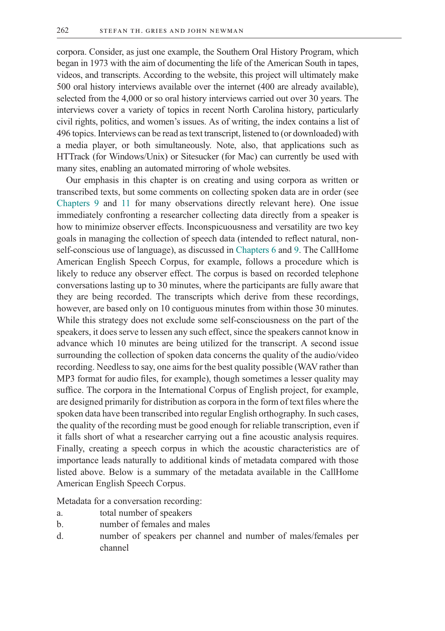corpora. Consider, as just one example, the Southern Oral History Program, which began in 1973 with the aim of documenting the life of the American South in tapes, videos, and transcripts. According to the website, this project will ultimately make 500 oral history interviews available over the internet (400 are already available), selected from the 4,000 or so oral history interviews carried out over 30 years. The interviews cover a variety of topics in recent North Carolina history, particularly civil rights, politics, and women's issues. As of writing, the index contains a list of 496 topics. Interviews can be read as text transcript, listened to (or downloaded) with a media player, or both simultaneously. Note, also, that applications such as HTTrack (for Windows/Unix) or Sitesucker (for Mac) can currently be used with many sites, enabling an automated mirroring of whole websites.

Our emphasis in this chapter is on creating and using corpora as written or transcribed texts, but some comments on collecting spoken data are in order (see Chapters 9 and 11 for many observations directly relevant here). One issue immediately confronting a researcher collecting data directly from a speaker is how to minimize observer effects. Inconspicuousness and versatility are two key goals in managing the collection of speech data (intended to reflect natural, nonself-conscious use of language), as discussed in Chapters 6 and 9. The CallHome American English Speech Corpus, for example, follows a procedure which is likely to reduce any observer effect. The corpus is based on recorded telephone conversations lasting up to 30 minutes, where the participants are fully aware that they are being recorded. The transcripts which derive from these recordings, however, are based only on 10 contiguous minutes from within those 30 minutes. While this strategy does not exclude some self-consciousness on the part of the speakers, it does serve to lessen any such effect, since the speakers cannot know in advance which 10 minutes are being utilized for the transcript. A second issue surrounding the collection of spoken data concerns the quality of the audio/video recording. Needless to say, one aims for the best quality possible (WAV rather than MP3 format for audio files, for example), though sometimes a lesser quality may suffice. The corpora in the International Corpus of English project, for example, are designed primarily for distribution as corpora in the form of text files where the spoken data have been transcribed into regular English orthography. In such cases, the quality of the recording must be good enough for reliable transcription, even if it falls short of what a researcher carrying out a fine acoustic analysis requires. Finally, creating a speech corpus in which the acoustic characteristics are of importance leads naturally to additional kinds of metadata compared with those listed above. Below is a summary of the metadata available in the CallHome American English Speech Corpus.

Metadata for a conversation recording:

- a. total number of speakers
- b. number of females and males
- d. number of speakers per channel and number of males/females per channel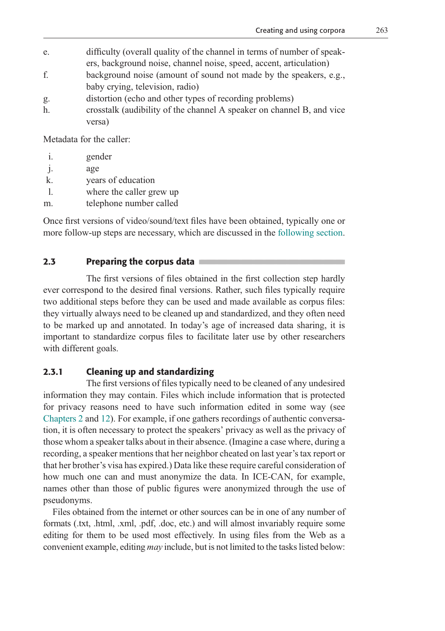- <span id="page-6-0"></span>e. difficulty (overall quality of the channel in terms of number of speakers, background noise, channel noise, speed, accent, articulation)
- f. background noise (amount of sound not made by the speakers, e.g., baby crying, television, radio)
- g. distortion (echo and other types of recording problems)
- h. crosstalk (audibility of the channel A speaker on channel B, and vice versa)

Metadata for the caller:

- i. gender
- j. age
- k. years of education
- l. where the caller grew up
- m. telephone number called

Once first versions of video/sound/text files have been obtained, typically one or more follow-up steps are necessary, which are discussed in the following section.

#### 2.3 Preparing the corpus data

The first versions of files obtained in the first collection step hardly ever correspond to the desired final versions. Rather, such files typically require two additional steps before they can be used and made available as corpus files: they virtually always need to be cleaned up and standardized, and they often need to be marked up and annotated. In today's age of increased data sharing, it is important to standardize corpus files to facilitate later use by other researchers with different goals.

#### 2.3.1 Cleaning up and standardizing

The first versions of files typically need to be cleaned of any undesired information they may contain. Files which include information that is protected for privacy reasons need to have such information edited in some way (see Chapters 2 and 12). For example, if one gathers recordings of authentic conversation, it is often necessary to protect the speakers' privacy as well as the privacy of those whom a speaker talks about in their absence. (Imagine a case where, during a recording, a speaker mentions that her neighbor cheated on last year's tax report or that her brother's visa has expired.) Data like these require careful consideration of how much one can and must anonymize the data. In ICE-CAN, for example, names other than those of public figures were anonymized through the use of pseudonyms.

Files obtained from the internet or other sources can be in one of any number of formats (.txt, .html, .xml, .pdf, .doc, etc.) and will almost invariably require some editing for them to be used most effectively. In using files from the Web as a convenient example, editing *may* include, but is not limited to the tasks listed below: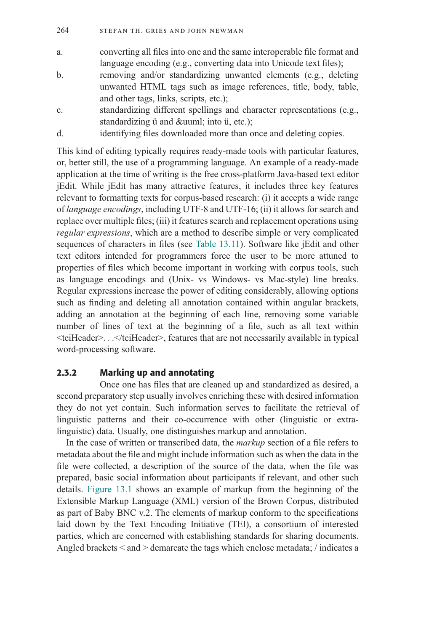- a. converting all files into one and the same interoperable file format and language encoding (e.g., converting data into Unicode text files);
- b. removing and/or standardizing unwanted elements (e.g., deleting unwanted HTML tags such as image references, title, body, table, and other tags, links, scripts, etc.);
- c. standardizing different spellings and character representations (e.g., standardizing  $\ddot{u}$  and  $\&$ uuml; into  $\ddot{u}$ , etc.);
- d. identifying files downloaded more than once and deleting copies.

This kind of editing typically requires ready-made tools with particular features, or, better still, the use of a programming language. An example of a ready-made application at the time of writing is the free cross-platform Java-based text editor jEdit. While jEdit has many attractive features, it includes three key features relevant to formatting texts for corpus-based research: (i) it accepts a wide range of language encodings, including UTF-8 and UTF-16; (ii) it allows for search and replace over multiple files; (iii) it features search and replacement operations using regular expressions, which are a method to describe simple or very complicated sequences of characters in files (see [Table 13.11](#page-21-0)). Software like jEdit and other text editors intended for programmers force the user to be more attuned to properties of files which become important in working with corpus tools, such as language encodings and (Unix- vs Windows- vs Mac-style) line breaks. Regular expressions increase the power of editing considerably, allowing options such as finding and deleting all annotation contained within angular brackets, adding an annotation at the beginning of each line, removing some variable number of lines of text at the beginning of a file, such as all text within <teiHeader>...</teiHeader>, features that are not necessarily available in typical word-processing software.

#### 2.3.2 Marking up and annotating

Once one has files that are cleaned up and standardized as desired, a second preparatory step usually involves enriching these with desired information they do not yet contain. Such information serves to facilitate the retrieval of linguistic patterns and their co-occurrence with other (linguistic or extralinguistic) data. Usually, one distinguishes markup and annotation.

In the case of written or transcribed data, the markup section of a file refers to metadata about the file and might include information such as when the data in the file were collected, a description of the source of the data, when the file was prepared, basic social information about participants if relevant, and other such details. [Figure 13.1](#page-8-0) shows an example of markup from the beginning of the Extensible Markup Language (XML) version of the Brown Corpus, distributed as part of Baby BNC v.2. The elements of markup conform to the specifications laid down by the Text Encoding Initiative (TEI), a consortium of interested parties, which are concerned with establishing standards for sharing documents. Angled brackets < and > demarcate the tags which enclose metadata; / indicates a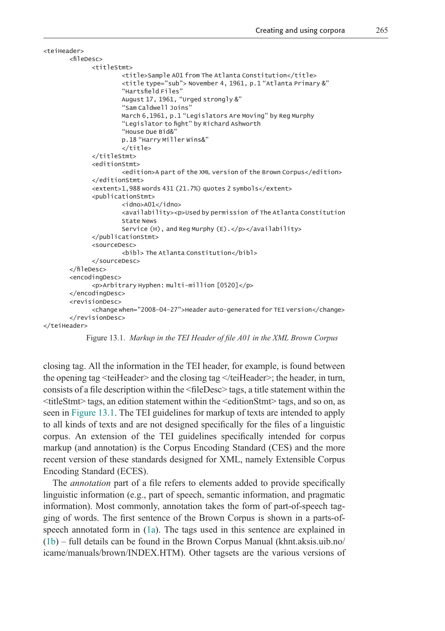```
<teiHeader>
       <fileDesc>
              <titleStmt>
                      <title>Sample A01 from The Atlanta Constitution</title>
                      <title type="sub"> November 4, 1961, p.1 "Atlanta Primary &"
                      "Hartsfield Files"
                      August 17, 1961, "Urged strongly &"
                      "Sam Caldwell Joins"
                      March 6,1961, p.1 "Legislators Are Moving" by Reg Murphy
                      "Legislator to fight" by Richard Ashworth
                      "House Due Bid&"
                      p.18 "Harry Miller Wins&"
                      \angle/titles
              </titleStmt>
              <editionStmt>
                      <edition>A part of the XML version of the Brown Corpus</edition>
              </editionStmt>
             <extent>1,988 words 431 (21.7%) quotes 2 symbols</extent>
              <publicationStmt>
                      <idno>A01</idno>
                      <availability><p>Used by permission of The Atlanta Constitution
                      State News
                      Service (H), and Reg Murphy (E).</p></availability>
              </publicationStmt>
             <sourceDesc>
                      <bibl> The Atlanta Constitution</bibl>
             </sourceDesc>
       </fileDesc>
       <encodingDesc>
             <p>Arbitrary Hyphen: multi-million [0520]</p>
       </encodingDesc>
       <revisionDesc>
             <change when="2008–04–27">Header auto-generated for TEI version</change>
       </revisionDesc>
</teiHeader>
```
Figure 13.1. Markup in the TEI Header of file A01 in the XML Brown Corpus

closing tag. All the information in the TEI header, for example, is found between the opening tag <teiHeader> and the closing tag </teiHeader>; the header, in turn, consists of a file description within the <fileDesc> tags, a title statement within the <titleStmt> tags, an edition statement within the <editionStmt> tags, and so on, as seen in Figure 13.1. The TEI guidelines for markup of texts are intended to apply to all kinds of texts and are not designed specifically for the files of a linguistic corpus. An extension of the TEI guidelines specifically intended for corpus markup (and annotation) is the Corpus Encoding Standard (CES) and the more recent version of these standards designed for XML, namely Extensible Corpus Encoding Standard (ECES).

The *annotation* part of a file refers to elements added to provide specifically linguistic information (e.g., part of speech, semantic information, and pragmatic information). Most commonly, annotation takes the form of part-of-speech tagging of words. The first sentence of the Brown Corpus is shown in a parts-ofspeech annotated form in [\(1a](#page-9-0)). The tags used in this sentence are explained in [\(1b\)](#page-9-0) – full details can be found in the Brown Corpus Manual (khnt.aksis.uib.no/ icame/manuals/brown/INDEX.HTM). Other tagsets are the various versions of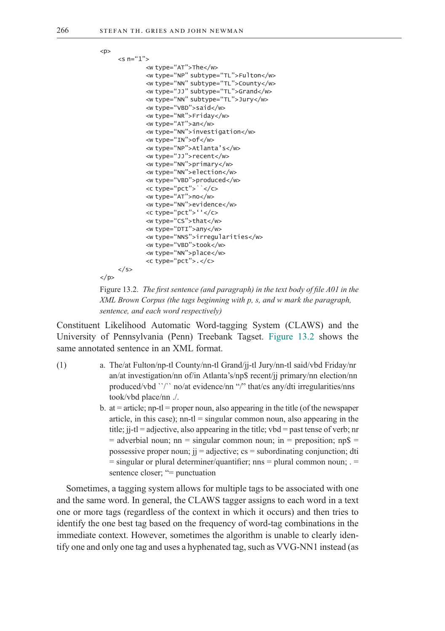```
<p><s n="1">
             <w type="AT">The</w>
             <w type="NP" subtype="TL">Fulton</w>
             <w type="NN" subtype="TL">County</w>
             <w type="JJ" subtype="TL">Grand</w>
             <w type="NN" subtype="TL">Jury</w>
             <w type="VBD">said</w>
             <w type="NR">Friday</w>
             <w type="AT">an</w>
             <w type="NN">investigation</w>
             <w type="IN">of</w>
             <w type="NP">Atlanta's</w>
             <w type="JJ">recent</w>
             <w type="NN">primary</w>
             <w type="NN">election</w>
             <w type="VBD">produced</w>
             <c type="pct">``</c>
             <w type="AT">no</w>
            <w type="NN">evidence</w>
            <c type="pct">''</c>
             <w type="CS">that</w>
             <w type="DTI">any</w>
             <w type="NNS">irregularities</w>
             <w type="VBD">took</w>
             <w type="NN">place</w>
             <c type="pct">.</c>
     </s>
\langle/p>
```


Constituent Likelihood Automatic Word-tagging System (CLAWS) and the University of Pennsylvania (Penn) Treebank Tagset. [Figure 13.2](#page-9-0) shows the same annotated sentence in an XML format.

- (1) a. The/at Fulton/np-tl County/nn-tl Grand/jj-tl Jury/nn-tl said/vbd Friday/nr an/at investigation/nn of/in Atlanta's/np\$ recent/jj primary/nn election/nn produced/vbd ``/`` no/at evidence/nn "/" that/cs any/dti irregularities/nns took/vbd place/nn ./.
	- b. at  $=$  article; np-tl  $=$  proper noun, also appearing in the title (of the newspaper article, in this case);  $m-tl =$  singular common noun, also appearing in the title; jj-tl = adjective, also appearing in the title; vbd = past tense of verb; nr  $=$  adverbial noun; nn  $=$  singular common noun; in  $=$  preposition; np\$  $=$ possessive proper noun;  $i =$  adjective;  $cs =$  subordinating conjunction; dti  $=$  singular or plural determiner/quantifier; nns  $=$  plural common noun;  $=$ sentence closer; "= punctuation

Sometimes, a tagging system allows for multiple tags to be associated with one and the same word. In general, the CLAWS tagger assigns to each word in a text one or more tags (regardless of the context in which it occurs) and then tries to identify the one best tag based on the frequency of word-tag combinations in the immediate context. However, sometimes the algorithm is unable to clearly identify one and only one tag and uses a hyphenated tag, such as VVG-NN1 instead (as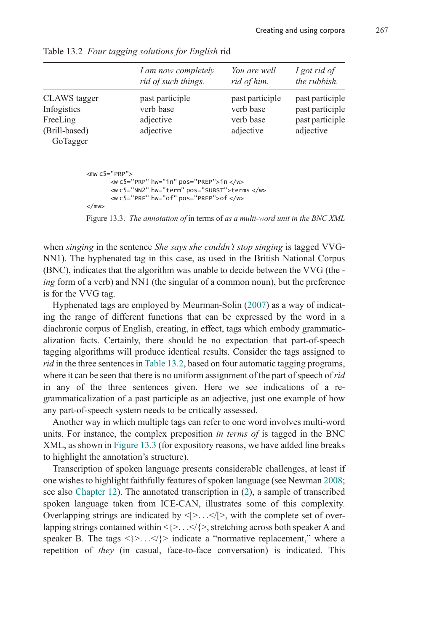|               | I am now completely<br>rid of such things. | You are well<br>rid of him. | I got rid of<br>the rubbish. |
|---------------|--------------------------------------------|-----------------------------|------------------------------|
| CLAWS tagger  | past participle                            | past participle             | past participle              |
| Infogistics   | verb base                                  | verb base                   | past participle              |
| FreeLing      | adjective                                  | verb base                   | past participle              |
| (Brill-based) | adjective                                  | adjective                   | adjective                    |
| GoTagger      |                                            |                             |                              |

<span id="page-10-0"></span>Table 13.2 Four tagging solutions for English rid

```
<mw c5="PRP">
       <w c5="PRP" hw="in" pos="PREP">in </w>
       <w c5="NN2" hw="term" pos="SUBST">terms </w>
       <w c5="PRF" hw="of" pos="PREP">of </w>
\langle/mw\rangle
```
Figure 13.3. The annotation of in terms of as a multi-word unit in the BNC XML

when singing in the sentence She says she couldn't stop singing is tagged VVG-NN1). The hyphenated tag in this case, as used in the British National Corpus (BNC), indicates that the algorithm was unable to decide between the VVG (the ing form of a verb) and NN1 (the singular of a common noun), but the preference is for the VVG tag.

Hyphenated tags are employed by Meurman-Solin [\(2007](#page-30-1)) as a way of indicating the range of different functions that can be expressed by the word in a diachronic corpus of English, creating, in effect, tags which embody grammaticalization facts. Certainly, there should be no expectation that part-of-speech tagging algorithms will produce identical results. Consider the tags assigned to rid in the three sentences in [Table 13.2,](#page-10-0) based on four automatic tagging programs, where it can be seen that there is no uniform assignment of the part of speech of *rid* in any of the three sentences given. Here we see indications of a regrammaticalization of a past participle as an adjective, just one example of how any part-of-speech system needs to be critically assessed.

Another way in which multiple tags can refer to one word involves multi-word units. For instance, the complex preposition in terms of is tagged in the BNC XML, as shown in [Figure 13.3](#page-10-0) (for expository reasons, we have added line breaks to highlight the annotation's structure).

Transcription of spoken language presents considerable challenges, at least if one wishes to highlight faithfully features of spoken language (see Newman [2008;](#page-30-1) see also Chapter 12). The annotated transcription in ([2](#page-11-0)), a sample of transcribed spoken language taken from ICE-CAN, illustrates some of this complexity. Overlapping strings are indicated by  $\leq$   $\leq$   $\leq$   $\leq$   $\leq$   $\leq$   $\leq$   $\leq$   $\leq$   $\leq$   $\leq$   $\leq$   $\leq$   $\leq$   $\leq$   $\leq$   $\leq$   $\leq$   $\leq$   $\leq$   $\leq$   $\leq$   $\leq$   $\leq$   $\leq$   $\leq$   $\leq$   $\leq$   $\leq$   $\leq$   $\leq$ lapping strings contained within  $\langle \rangle$ ... $\langle \rangle$ , stretching across both speaker A and speaker B. The tags  $\langle \rangle$ ... $\langle \rangle$  indicate a "normative replacement," where a repetition of they (in casual, face-to-face conversation) is indicated. This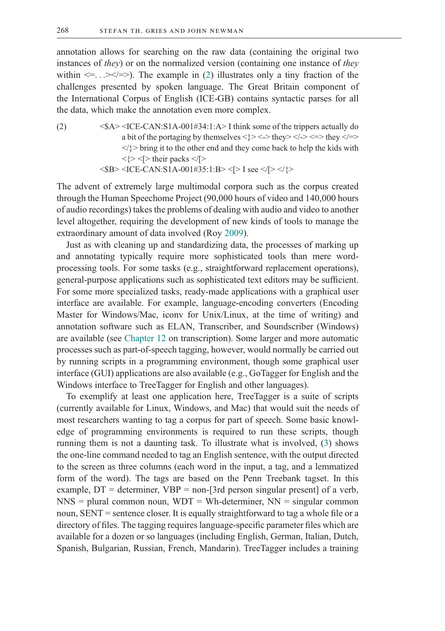<span id="page-11-0"></span>annotation allows for searching on the raw data (containing the original two instances of *they*) or on the normalized version (containing one instance of *they* within  $\leq$ ... $\geq$  $\leq$  $\geq$ ). The example in (2) illustrates only a tiny fraction of the challenges presented by spoken language. The Great Britain component of the International Corpus of English (ICE-GB) contains syntactic parses for all the data, which make the annotation even more complex.

(2)  $\langle \$A \rangle \langle \text{ICE-CAN:S1A-001#34:1:A>}$  I think some of the trippers actually do a bit of the portaging by themselves <  $\ge$  <  $\ge$  they  $\lt$   $\ge$  they  $\lt$   $\le$   $\ge$  they  $\lt$   $\ne$  $\langle \rangle$  bring it to the other end and they come back to help the kids with  $\langle \rangle$  <  $\langle \rangle$  their packs  $\langle \rangle$  $\langle$ SB>  $\langle$ ICE-CAN:S1A-001#35:1:B>  $\langle$  > I see  $\langle$  |>  $\langle$   $\rangle$ 

The advent of extremely large multimodal corpora such as the corpus created through the Human Speechome Project (90,000 hours of video and 140,000 hours of audio recordings) takes the problems of dealing with audio and video to another level altogether, requiring the development of new kinds of tools to manage the extraordinary amount of data involved (Roy [2009\)](#page-30-1).

Just as with cleaning up and standardizing data, the processes of marking up and annotating typically require more sophisticated tools than mere wordprocessing tools. For some tasks (e.g., straightforward replacement operations), general-purpose applications such as sophisticated text editors may be sufficient. For some more specialized tasks, ready-made applications with a graphical user interface are available. For example, language-encoding converters (Encoding Master for Windows/Mac, iconv for Unix/Linux, at the time of writing) and annotation software such as ELAN, Transcriber, and Soundscriber (Windows) are available (see Chapter 12 on transcription). Some larger and more automatic processes such as part-of-speech tagging, however, would normally be carried out by running scripts in a programming environment, though some graphical user interface (GUI) applications are also available (e.g., GoTagger for English and the Windows interface to TreeTagger for English and other languages).

To exemplify at least one application here, TreeTagger is a suite of scripts (currently available for Linux, Windows, and Mac) that would suit the needs of most researchers wanting to tag a corpus for part of speech. Some basic knowledge of programming environments is required to run these scripts, though running them is not a daunting task. To illustrate what is involved, [\(3](#page-12-0)) shows the one-line command needed to tag an English sentence, with the output directed to the screen as three columns (each word in the input, a tag, and a lemmatized form of the word). The tags are based on the Penn Treebank tagset. In this example,  $DT =$  determiner,  $VBP =$  non-[3rd person singular present] of a verb,  $NNS =$  plural common noun,  $WDT = Wh-determiner$ ,  $NN =$  singular common noun, SENT = sentence closer. It is equally straightforward to tag a whole file or a directory of files. The tagging requires language-specific parameter files which are available for a dozen or so languages (including English, German, Italian, Dutch, Spanish, Bulgarian, Russian, French, Mandarin). TreeTagger includes a training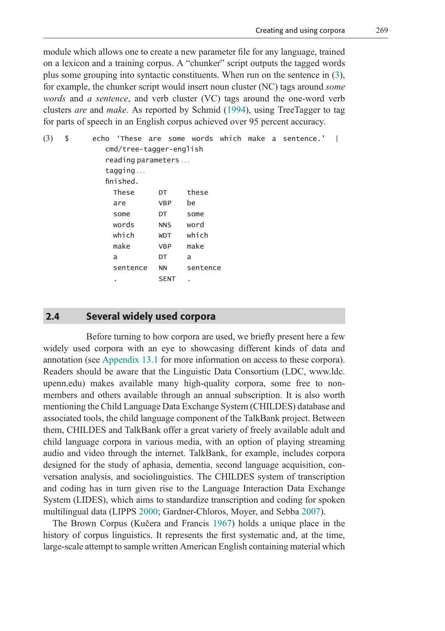<span id="page-12-0"></span>module which allows one to create a new parameter file for any language, trained on a lexicon and a training corpus. A "chunker" script outputs the tagged words plus some grouping into syntactic constituents. When run on the sentence in (3), for example, the chunker script would insert noun cluster (NC) tags around some words and a sentence, and verb cluster (VC) tags around the one-word verb clusters are and make. As reported by Schmid [\(1994](#page-30-1)), using TreeTagger to tag for parts of speech in an English corpus achieved over 95 percent accuracy.

| (3) | \$                 |                         |           |             |                |  |  |  | echo 'These are some words which make a sentence.' |  |
|-----|--------------------|-------------------------|-----------|-------------|----------------|--|--|--|----------------------------------------------------|--|
|     |                    | cmd/tree-tagger-english |           |             |                |  |  |  |                                                    |  |
|     | reading parameters |                         |           |             |                |  |  |  |                                                    |  |
|     |                    | tagging                 |           |             |                |  |  |  |                                                    |  |
|     |                    | finished.               |           |             |                |  |  |  |                                                    |  |
|     |                    | These                   | DT        |             | these          |  |  |  |                                                    |  |
|     |                    | are                     |           | <b>VBP</b>  | be             |  |  |  |                                                    |  |
|     |                    | some                    | DT        |             | some           |  |  |  |                                                    |  |
|     |                    | words                   |           | <b>NNS</b>  | word           |  |  |  |                                                    |  |
|     |                    | which                   |           | <b>WDT</b>  | which          |  |  |  |                                                    |  |
|     |                    | make                    |           | <b>VBP</b>  | make           |  |  |  |                                                    |  |
|     |                    | a                       | DT        |             | a              |  |  |  |                                                    |  |
|     |                    | sentence                | <b>NN</b> |             | sentence       |  |  |  |                                                    |  |
|     |                    |                         |           | <b>SENT</b> | $\blacksquare$ |  |  |  |                                                    |  |
|     |                    | ٠                       |           |             |                |  |  |  |                                                    |  |

#### 2.4 Several widely used corpora

Before turning to how corpora are used, we briefly present here a few widely used corpora with an eye to showcasing different kinds of data and annotation (see [Appendix 13.1](#page-26-0) for more information on access to these corpora). Readers should be aware that the Linguistic Data Consortium (LDC, [www.ldc.](http://www.ldc.upenn.edu) [upenn.edu\)](http://www.ldc.upenn.edu) makes available many high-quality corpora, some free to nonmembers and others available through an annual subscription. It is also worth mentioning the Child Language Data Exchange System (CHILDES) database and associated tools, the child language component of the TalkBank project. Between them, CHILDES and TalkBank offer a great variety of freely available adult and child language corpora in various media, with an option of playing streaming audio and video through the internet. TalkBank, for example, includes corpora designed for the study of aphasia, dementia, second language acquisition, conversation analysis, and sociolinguistics. The CHILDES system of transcription and coding has in turn given rise to the Language Interaction Data Exchange System (LIDES), which aims to standardize transcription and coding for spoken multilingual data (LIPPS [2000](#page-29-1); Gardner-Chloros, Moyer, and Sebba [2007](#page-29-1)).

The Brown Corpus (Kučera and Francis [1967\)](#page-29-1) holds a unique place in the history of corpus linguistics. It represents the first systematic and, at the time, large-scale attempt to sample written American English containing material which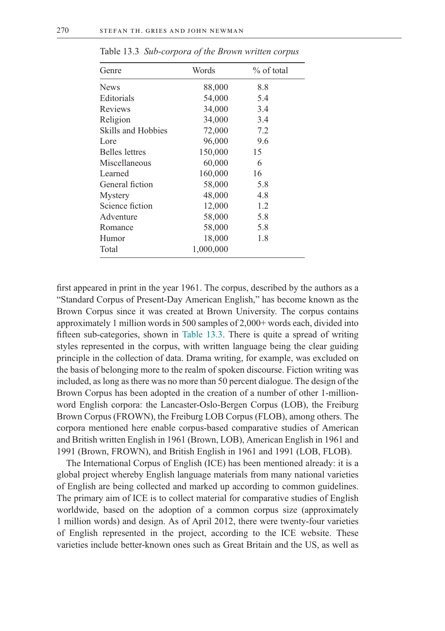| Genre                 | Words     | $\%$ of total |
|-----------------------|-----------|---------------|
| <b>News</b>           | 88,000    | 8.8           |
| Editorials            | 54,000    | 5.4           |
| Reviews               | 34,000    | 3.4           |
| Religion              | 34,000    | 3.4           |
| Skills and Hobbies    | 72,000    | 7.2           |
| Lore                  | 96,000    | 9.6           |
| <b>Belles</b> lettres | 150,000   | 15            |
| Miscellaneous         | 60,000    | 6             |
| Learned               | 160,000   | 16            |
| General fiction       | 58,000    | 5.8           |
| Mystery               | 48,000    | 4.8           |
| Science fiction       | 12,000    | 1.2           |
| Adventure             | 58,000    | 5.8           |
| Romance               | 58,000    | 5.8           |
| Humor                 | 18,000    | 1.8           |
| Total                 | 1,000,000 |               |

<span id="page-13-0"></span>Table 13.3 Sub-corpora of the Brown written corpus

first appeared in print in the year 1961. The corpus, described by the authors as a "Standard Corpus of Present-Day American English," has become known as the Brown Corpus since it was created at Brown University. The corpus contains approximately 1 million words in 500 samples of 2,000+ words each, divided into fifteen sub-categories, shown in Table 13.3. There is quite a spread of writing styles represented in the corpus, with written language being the clear guiding principle in the collection of data. Drama writing, for example, was excluded on the basis of belonging more to the realm of spoken discourse. Fiction writing was included, as long as there was no more than 50 percent dialogue. The design of the Brown Corpus has been adopted in the creation of a number of other 1-millionword English corpora: the Lancaster-Oslo-Bergen Corpus (LOB), the Freiburg Brown Corpus (FROWN), the Freiburg LOB Corpus (FLOB), among others. The corpora mentioned here enable corpus-based comparative studies of American and British written English in 1961 (Brown, LOB), American English in 1961 and 1991 (Brown, FROWN), and British English in 1961 and 1991 (LOB, FLOB).

The International Corpus of English (ICE) has been mentioned already: it is a global project whereby English language materials from many national varieties of English are being collected and marked up according to common guidelines. The primary aim of ICE is to collect material for comparative studies of English worldwide, based on the adoption of a common corpus size (approximately 1 million words) and design. As of April 2012, there were twenty-four varieties of English represented in the project, according to the ICE website. These varieties include better-known ones such as Great Britain and the US, as well as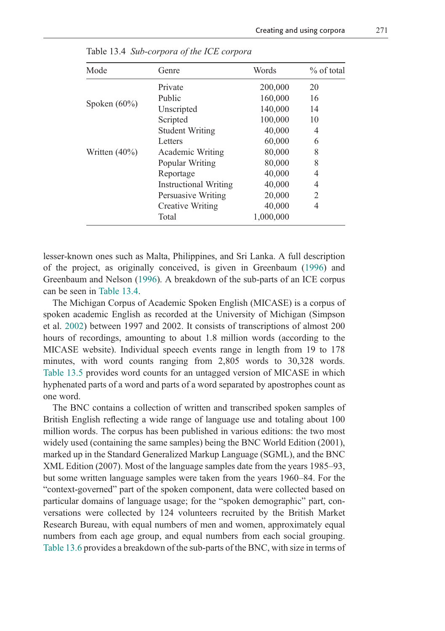| Mode             | Genre                        | Words     | $\%$ of total |
|------------------|------------------------------|-----------|---------------|
|                  | Private                      | 200,000   | 20            |
|                  | Public                       | 160,000   | 16            |
| Spoken $(60\%)$  | Unscripted                   | 140,000   | 14            |
|                  | Scripted                     | 100,000   | 10            |
|                  | <b>Student Writing</b>       | 40,000    | 4             |
|                  | Letters                      | 60,000    | 6             |
| Written $(40\%)$ | Academic Writing             | 80,000    | 8             |
|                  | Popular Writing              | 80,000    | 8             |
|                  | Reportage                    | 40,000    | 4             |
|                  | <b>Instructional Writing</b> | 40,000    | 4             |
|                  | Persuasive Writing           | 20,000    | 2             |
|                  | Creative Writing             | 40,000    | 4             |
|                  | Total                        | 1,000,000 |               |

<span id="page-14-0"></span>Table 13.4 Sub-corpora of the ICE corpora

lesser-known ones such as Malta, Philippines, and Sri Lanka. A full description of the project, as originally conceived, is given in Greenbaum ([1996\)](#page-29-1) and Greenbaum and Nelson ([1996\)](#page-29-1). A breakdown of the sub-parts of an ICE corpus can be seen in [Table 13.4](#page-14-0).

The Michigan Corpus of Academic Spoken English (MICASE) is a corpus of spoken academic English as recorded at the University of Michigan (Simpson et al. [2002\)](#page-30-1) between 1997 and 2002. It consists of transcriptions of almost 200 hours of recordings, amounting to about 1.8 million words (according to the MICASE website). Individual speech events range in length from 19 to 178 minutes, with word counts ranging from 2,805 words to 30,328 words. [Table 13.5](#page-15-0) provides word counts for an untagged version of MICASE in which hyphenated parts of a word and parts of a word separated by apostrophes count as one word.

The BNC contains a collection of written and transcribed spoken samples of British English reflecting a wide range of language use and totaling about 100 million words. The corpus has been published in various editions: the two most widely used (containing the same samples) being the BNC World Edition (2001), marked up in the Standard Generalized Markup Language (SGML), and the BNC XML Edition (2007). Most of the language samples date from the years 1985–93, but some written language samples were taken from the years 1960–84. For the "context-governed" part of the spoken component, data were collected based on particular domains of language usage; for the "spoken demographic" part, conversations were collected by 124 volunteers recruited by the British Market Research Bureau, with equal numbers of men and women, approximately equal numbers from each age group, and equal numbers from each social grouping. [Table 13.6](#page-15-0) provides a breakdown of the sub-parts of the BNC, with size in terms of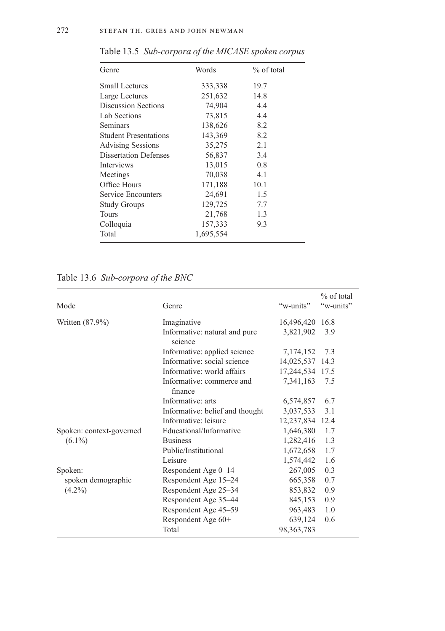| Genre                        | Words     | $\%$ of total |
|------------------------------|-----------|---------------|
| <b>Small Lectures</b>        | 333,338   | 19.7          |
| Large Lectures               | 251,632   | 14.8          |
| <b>Discussion Sections</b>   | 74,904    | 4.4           |
| Lab Sections                 | 73,815    | 4.4           |
| <b>Seminars</b>              | 138,626   | 8.2           |
| <b>Student Presentations</b> | 143,369   | 8.2           |
| <b>Advising Sessions</b>     | 35,275    | 2.1           |
| <b>Dissertation Defenses</b> | 56,837    | 3.4           |
| <b>Interviews</b>            | 13,015    | 0.8           |
| Meetings                     | 70,038    | 4.1           |
| Office Hours                 | 171,188   | 10.1          |
| Service Encounters           | 24,691    | 1.5           |
| <b>Study Groups</b>          | 129,725   | 7.7           |
| Tours                        | 21,768    | 1.3           |
| Colloquia                    | 157,333   | 9.3           |
| Total                        | 1,695,554 |               |
|                              |           |               |

<span id="page-15-0"></span>Table 13.5 Sub-corpora of the MICASE spoken corpus

Table 13.6 Sub-corpora of the BNC

| Mode                     | Genre                                    | "w-units"       | $%$ of total<br>"w-units" |
|--------------------------|------------------------------------------|-----------------|---------------------------|
| Written (87.9%)          | Imaginative                              | 16,496,420      | 16.8                      |
|                          | Informative: natural and pure<br>science | 3,821,902       | 3.9                       |
|                          | Informative: applied science             | 7,174,152       | 7.3                       |
|                          | Informative: social science              | 14,025,537      | 14.3                      |
|                          | Informative: world affairs               | 17,244,534 17.5 |                           |
|                          | Informative: commerce and<br>finance     | 7,341,163       | 7.5                       |
|                          | Informative: arts                        | 6,574,857       | 6.7                       |
|                          | Informative: belief and thought          | 3,037,533       | 3.1                       |
|                          | Informative: leisure                     | 12,237,834 12.4 |                           |
| Spoken: context-governed | Educational/Informative                  | 1,646,380       | 1.7                       |
| $(6.1\%)$                | <b>Business</b>                          | 1,282,416       | 1.3                       |
|                          | Public/Institutional                     | 1,672,658       | 1.7                       |
|                          | Leisure                                  | 1,574,442       | 1.6                       |
| Spoken:                  | Respondent Age 0–14                      | 267,005         | 0.3                       |
| spoken demographic       | Respondent Age 15-24                     | 665,358         | 0.7                       |
| $(4.2\%)$                | Respondent Age 25-34                     | 853,832         | 0.9                       |
|                          | Respondent Age 35–44                     | 845,153         | 0.9                       |
|                          | Respondent Age 45–59                     | 963,483         | 1.0                       |
|                          | Respondent Age 60+                       | 639,124         | 0.6                       |
|                          | Total                                    | 98, 363, 783    |                           |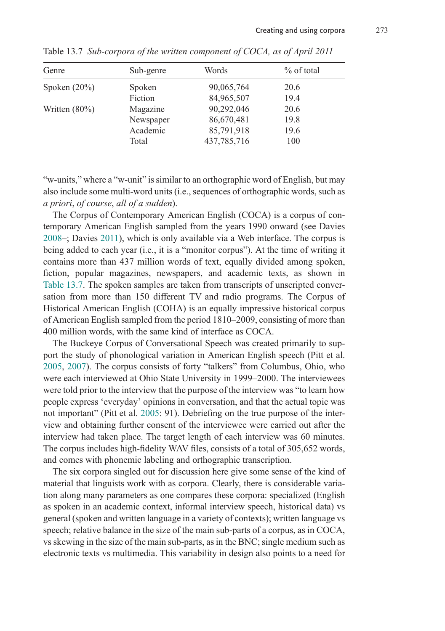| Genre            | Sub-genre | Words       | $\%$ of total |
|------------------|-----------|-------------|---------------|
| Spoken $(20\%)$  | Spoken    | 90,065,764  | 20.6          |
|                  | Fiction   | 84,965,507  | 19.4          |
| Written $(80\%)$ | Magazine  | 90,292,046  | 20.6          |
|                  | Newspaper | 86,670,481  | 19.8          |
|                  | Academic  | 85,791,918  | 19.6          |
|                  | Total     | 437,785,716 | 100           |

<span id="page-16-0"></span>Table 13.7 Sub-corpora of the written component of COCA, as of April 2011

"w-units," where a "w-unit" is similar to an orthographic word of English, but may also include some multi-word units (i.e., sequences of orthographic words, such as a priori, of course, all of a sudden).

The Corpus of Contemporary American English (COCA) is a corpus of contemporary American English sampled from the years 1990 onward (see Davies [2008](#page-29-1)–; Davies [2011\)](#page-29-1), which is only available via a Web interface. The corpus is being added to each year (i.e., it is a "monitor corpus"). At the time of writing it contains more than 437 million words of text, equally divided among spoken, fiction, popular magazines, newspapers, and academic texts, as shown in [Table 13.7.](#page-16-0) The spoken samples are taken from transcripts of unscripted conversation from more than 150 different TV and radio programs. The Corpus of Historical American English (COHA) is an equally impressive historical corpus of American English sampled from the period 1810–2009, consisting of more than 400 million words, with the same kind of interface as COCA.

The Buckeye Corpus of Conversational Speech was created primarily to support the study of phonological variation in American English speech (Pitt et al. [2005,](#page-30-0) [2007\)](#page-30-1). The corpus consists of forty "talkers" from Columbus, Ohio, who were each interviewed at Ohio State University in 1999–2000. The interviewees were told prior to the interview that the purpose of the interview was "to learn how people express 'everyday' opinions in conversation, and that the actual topic was not important" (Pitt et al. [2005:](#page-30-0) 91). Debriefing on the true purpose of the interview and obtaining further consent of the interviewee were carried out after the interview had taken place. The target length of each interview was 60 minutes. The corpus includes high-fidelity WAV files, consists of a total of 305,652 words, and comes with phonemic labeling and orthographic transcription.

The six corpora singled out for discussion here give some sense of the kind of material that linguists work with as corpora. Clearly, there is considerable variation along many parameters as one compares these corpora: specialized (English as spoken in an academic context, informal interview speech, historical data) vs general (spoken and written language in a variety of contexts); written language vs speech; relative balance in the size of the main sub-parts of a corpus, as in COCA, vs skewing in the size of the main sub-parts, as in the BNC; single medium such as electronic texts vs multimedia. This variability in design also points to a need for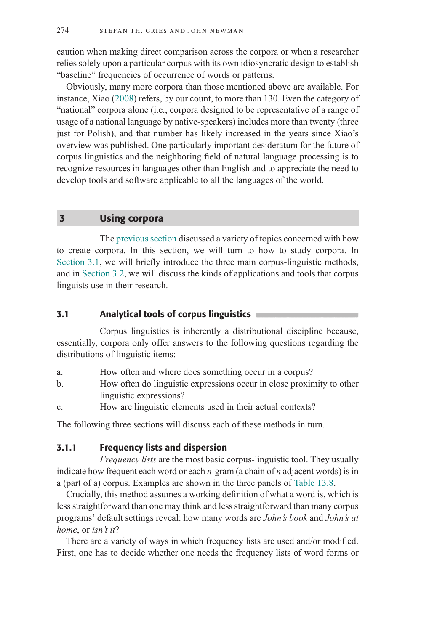caution when making direct comparison across the corpora or when a researcher relies solely upon a particular corpus with its own idiosyncratic design to establish "baseline" frequencies of occurrence of words or patterns.

Obviously, many more corpora than those mentioned above are available. For instance, Xiao [\(2008](#page-30-1)) refers, by our count, to more than 130. Even the category of "national" corpora alone (i.e., corpora designed to be representative of a range of usage of a national language by native-speakers) includes more than twenty (three just for Polish), and that number has likely increased in the years since Xiao's overview was published. One particularly important desideratum for the future of corpus linguistics and the neighboring field of natural language processing is to recognize resources in languages other than English and to appreciate the need to develop tools and software applicable to all the languages of the world.

#### 3 Using corpora

The [previous section](#page-12-0) discussed a variety of topics concerned with how to create corpora. In this section, we will turn to how to study corpora. In Section 3.1, we will briefly introduce the three main corpus-linguistic methods, and in [Section 3.2](#page-21-0), we will discuss the kinds of applications and tools that corpus linguists use in their research.

#### 3.1 Analytical tools of corpus linguistics

Corpus linguistics is inherently a distributional discipline because, essentially, corpora only offer answers to the following questions regarding the distributions of linguistic items:

- a. How often and where does something occur in a corpus?
- b. How often do linguistic expressions occur in close proximity to other linguistic expressions?
- c. How are linguistic elements used in their actual contexts?

The following three sections will discuss each of these methods in turn.

#### 3.1.1 Frequency lists and dispersion

Frequency lists are the most basic corpus-linguistic tool. They usually indicate how frequent each word or each  $n$ -gram (a chain of  $n$  adjacent words) is in a (part of a) corpus. Examples are shown in the three panels of [Table 13.8.](#page-18-0)

Crucially, this method assumes a working definition of what a word is, which is less straightforward than one may think and less straightforward than many corpus programs' default settings reveal: how many words are John's book and John's at home, or isn't it?

There are a variety of ways in which frequency lists are used and/or modified. First, one has to decide whether one needs the frequency lists of word forms or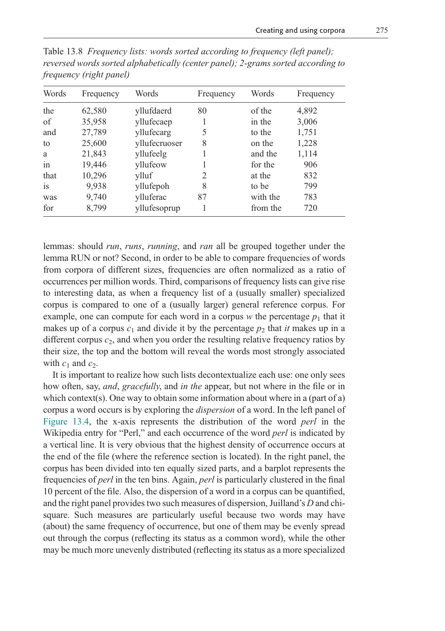| Words | Frequency | Words         | Frequency | Words    | Frequency |
|-------|-----------|---------------|-----------|----------|-----------|
| the   | 62,580    | yllufdaerd    | 80        | of the   | 4,892     |
| of    | 35,958    | yllufecaep    |           | in the   | 3,006     |
| and   | 27,789    | yllufecarg    | 5         | to the   | 1,751     |
| to    | 25,600    | yllufecruoser | 8         | on the   | 1,228     |
| a     | 21,843    | yllufeelg     |           | and the  | 1,114     |
| 1n    | 19,446    | yllufeow      |           | for the  | 906       |
| that  | 10,296    | ylluf         | 2         | at the   | 832       |
| 1S    | 9,938     | yllufepoh     | 8         | to be    | 799       |
| was   | 9,740     | ylluferac     | 87        | with the | 783       |
| for   | 8,799     | yllufesoprup  |           | from the | 720       |

<span id="page-18-0"></span>Table 13.8 Frequency lists: words sorted according to frequency (left panel); reversed words sorted alphabetically (center panel); 2-grams sorted according to frequency (right panel)

lemmas: should run, runs, running, and ran all be grouped together under the lemma RUN or not? Second, in order to be able to compare frequencies of words from corpora of different sizes, frequencies are often normalized as a ratio of occurrences per million words. Third, comparisons of frequency lists can give rise to interesting data, as when a frequency list of a (usually smaller) specialized corpus is compared to one of a (usually larger) general reference corpus. For example, one can compute for each word in a corpus w the percentage  $p_1$  that it makes up of a corpus  $c_1$  and divide it by the percentage  $p_2$  that *it* makes up in a different corpus  $c_2$ , and when you order the resulting relative frequency ratios by their size, the top and the bottom will reveal the words most strongly associated with  $c_1$  and  $c_2$ .

It is important to realize how such lists decontextualize each use: one only sees how often, say, *and, gracefully*, and *in the* appear, but not where in the file or in which context(s). One way to obtain some information about where in a (part of a) corpus a word occurs is by exploring the *dispersion* of a word. In the left panel of [Figure 13.4,](#page-19-0) the x-axis represents the distribution of the word *perl* in the Wikipedia entry for "Perl," and each occurrence of the word *perl* is indicated by a vertical line. It is very obvious that the highest density of occurrence occurs at the end of the file (where the reference section is located). In the right panel, the corpus has been divided into ten equally sized parts, and a barplot represents the frequencies of *perl* in the ten bins. Again, *perl* is particularly clustered in the final 10 percent of the file. Also, the dispersion of a word in a corpus can be quantified, and the right panel provides two such measures of dispersion, Juilland's D and chisquare. Such measures are particularly useful because two words may have (about) the same frequency of occurrence, but one of them may be evenly spread out through the corpus (reflecting its status as a common word), while the other may be much more unevenly distributed (reflecting its status as a more specialized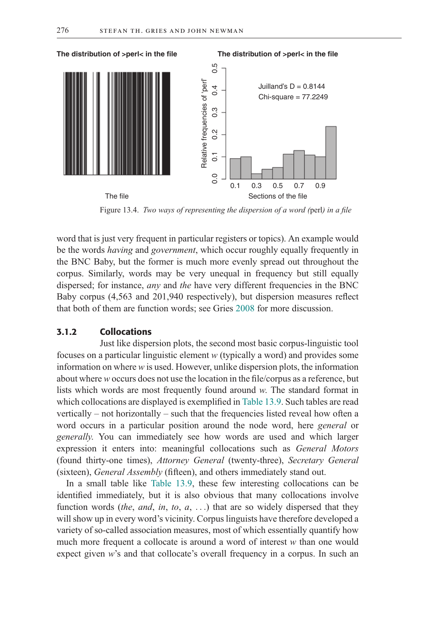<span id="page-19-0"></span>

Figure 13.4. Two ways of representing the dispersion of a word (perl) in a file

word that is just very frequent in particular registers or topics). An example would be the words *having* and *government*, which occur roughly equally frequently in the BNC Baby, but the former is much more evenly spread out throughout the corpus. Similarly, words may be very unequal in frequency but still equally dispersed; for instance, *any* and *the* have very different frequencies in the BNC Baby corpus (4,563 and 201,940 respectively), but dispersion measures reflect that both of them are function words; see Gries [2008](#page-29-1) for more discussion.

#### 3.1.2 Collocations

Just like dispersion plots, the second most basic corpus-linguistic tool focuses on a particular linguistic element w (typically a word) and provides some information on where  $w$  is used. However, unlike dispersion plots, the information about where w occurs does not use the location in the file/corpus as a reference, but lists which words are most frequently found around  $w$ . The standard format in which collocations are displayed is exemplified in [Table 13.9.](#page-20-0) Such tables are read vertically – not horizontally – such that the frequencies listed reveal how often a word occurs in a particular position around the node word, here general or generally. You can immediately see how words are used and which larger expression it enters into: meaningful collocations such as General Motors (found thirty-one times), Attorney General (twenty-three), Secretary General (sixteen), General Assembly (fifteen), and others immediately stand out.

In a small table like [Table 13.9,](#page-20-0) these few interesting collocations can be identified immediately, but it is also obvious that many collocations involve function words *(the, and, in, to, a, ...)* that are so widely dispersed that they will show up in every word's vicinity. Corpus linguists have therefore developed a variety of so-called association measures, most of which essentially quantify how much more frequent a collocate is around a word of interest w than one would expect given  $w$ 's and that collocate's overall frequency in a corpus. In such an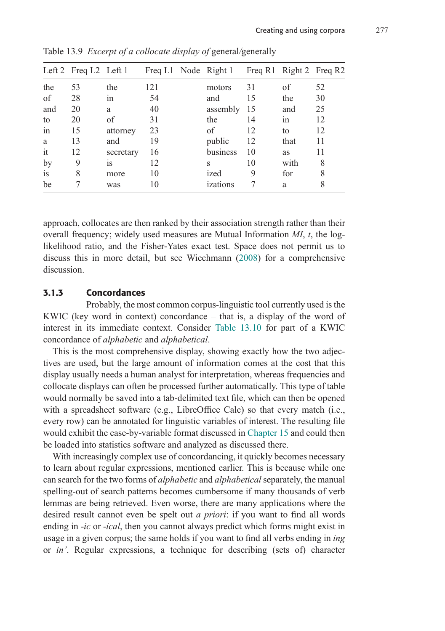|     | Left 2 Freq L2 Left 1 |           |     | Freq L1 Node Right 1 |    | Freq R1 Right 2 Freq R2 |    |
|-----|-----------------------|-----------|-----|----------------------|----|-------------------------|----|
| the | 53                    | the       | 121 | motors               | 31 | of                      | 52 |
| of  | 28                    | in        | 54  | and                  | 15 | the                     | 30 |
| and | 20                    | a         | 40  | assembly             | 15 | and                     | 25 |
| to  | 20                    | of        | 31  | the                  | 14 | 1n                      | 12 |
| in  | 15                    | attorney  | 23  | of                   | 12 | to                      | 12 |
| a   | 13                    | and       | 19  | public               | 12 | that                    | 11 |
| it  | 12                    | secretary | 16  | business             | 10 | as                      | 11 |
| by  | 9                     | 1S        | 12  | S                    | 10 | with                    | 8  |
| is  | 8                     | more      | 10  | ized                 | 9  | for                     | 8  |
| be  |                       | was       | 10  | izations             |    | a                       | 8  |

<span id="page-20-0"></span>Table 13.9 *Excerpt of a collocate display of general/generally* 

approach, collocates are then ranked by their association strength rather than their overall frequency; widely used measures are Mutual Information *MI*, t, the loglikelihood ratio, and the Fisher-Yates exact test. Space does not permit us to discuss this in more detail, but see Wiechmann ([2008\)](#page-30-1) for a comprehensive discussion.

#### 3.1.3 Concordances

Probably, the most common corpus-linguistic tool currently used is the KWIC (key word in context) concordance – that is, a display of the word of interest in its immediate context. Consider [Table 13.10](#page-21-1) for part of a KWIC concordance of alphabetic and alphabetical.

This is the most comprehensive display, showing exactly how the two adjectives are used, but the large amount of information comes at the cost that this display usually needs a human analyst for interpretation, whereas frequencies and collocate displays can often be processed further automatically. This type of table would normally be saved into a tab-delimited text file, which can then be opened with a spreadsheet software (e.g., LibreOffice Calc) so that every match (i.e., every row) can be annotated for linguistic variables of interest. The resulting file would exhibit the case-by-variable format discussed in Chapter 15 and could then be loaded into statistics software and analyzed as discussed there.

With increasingly complex use of concordancing, it quickly becomes necessary to learn about regular expressions, mentioned earlier. This is because while one can search for the two forms of *alphabetic* and *alphabetical* separately, the manual spelling-out of search patterns becomes cumbersome if many thousands of verb lemmas are being retrieved. Even worse, there are many applications where the desired result cannot even be spelt out a priori: if you want to find all words ending in -ic or -ical, then you cannot always predict which forms might exist in usage in a given corpus; the same holds if you want to find all verbs ending in *ing* or in'. Regular expressions, a technique for describing (sets of) character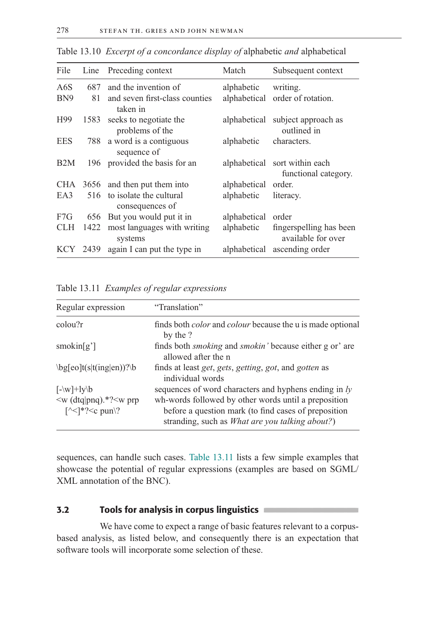| File             | Line | Preceding context                          | Match        | Subsequent context                                    |
|------------------|------|--------------------------------------------|--------------|-------------------------------------------------------|
| A <sub>6</sub> S | 687  | and the invention of                       | alphabetic   | writing.                                              |
| B <sub>N9</sub>  | 81   | and seven first-class counties<br>taken in |              | alphabetical order of rotation.                       |
| H <sub>99</sub>  | 1583 | seeks to negotiate the<br>problems of the  | alphabetical | subject approach as<br>outlined in                    |
| <b>EES</b>       | 788  | a word is a contiguous<br>sequence of      | alphabetic   | characters.                                           |
| B2M              | 196  | provided the basis for an                  |              | alphabetical sort within each<br>functional category. |
|                  |      | CHA 3656 and then put them into            | alphabetical | order.                                                |
| EA3              | 516  | to isolate the cultural<br>consequences of | alphabetic   | literacy.                                             |
| F7G              | 656  | But you would put it in                    | alphabetical | order                                                 |
| <b>CLH</b>       | 1422 | most languages with writing<br>systems     | alphabetic   | fingerspelling has been<br>available for over         |
| <b>KCY</b>       | 2439 | again I can put the type in                | alphabetical | ascending order                                       |

<span id="page-21-1"></span><span id="page-21-0"></span>Table 13.10 Excerpt of a concordance display of alphabetic and alphabetical

Table 13.11 Examples of regular expressions

| Regular expression                                                                                                                                                        | "Translation"                                                                                                                                                                                                                     |
|---------------------------------------------------------------------------------------------------------------------------------------------------------------------------|-----------------------------------------------------------------------------------------------------------------------------------------------------------------------------------------------------------------------------------|
| colou?r                                                                                                                                                                   | finds both <i>color</i> and <i>colour</i> because the u is made optional<br>by the ?                                                                                                                                              |
| smokin $[g']$                                                                                                                                                             | finds both <i>smoking</i> and <i>smokin'</i> because either g or' are<br>allowed after the n                                                                                                                                      |
| $\bg[eo]t(s t(ing en))?\$                                                                                                                                                 | finds at least get, gets, getting, got, and gotten as<br>individual words                                                                                                                                                         |
| $[-\wedge w]+1y\&$<br>$\langle w \left( \frac{d}{dpnq} \right) \rangle^* \rangle \langle w \rangle$ prp<br>$\lceil^{\wedge} \leq \rceil$ *? <c pun<math="">\setminus?</c> | sequences of word characters and hyphens ending in $l$<br>wh-words followed by other words until a preposition<br>before a question mark (to find cases of preposition<br>stranding, such as <i>What are you talking about?</i> ) |

sequences, can handle such cases. Table 13.11 lists a few simple examples that showcase the potential of regular expressions (examples are based on SGML/ XML annotation of the BNC).

#### 3.2 Tools for analysis in corpus linguistics

We have come to expect a range of basic features relevant to a corpusbased analysis, as listed below, and consequently there is an expectation that software tools will incorporate some selection of these.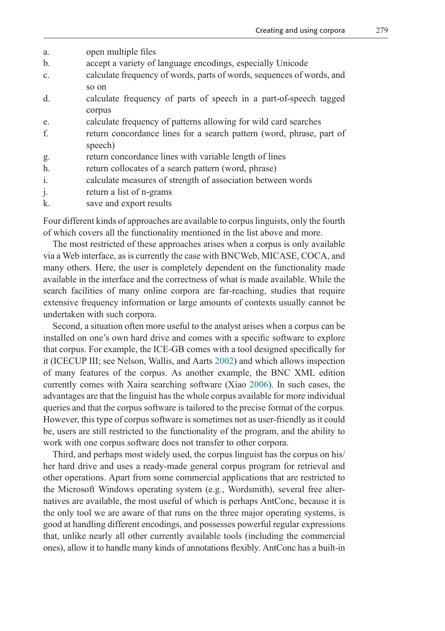- b. accept a variety of language encodings, especially Unicode
- c. calculate frequency of words, parts of words, sequences of words, and so on
- d. calculate frequency of parts of speech in a part-of-speech tagged corpus
- e. calculate frequency of patterns allowing for wild card searches
- f. return concordance lines for a search pattern (word, phrase, part of speech)
- g. return concordance lines with variable length of lines
- h. return collocates of a search pattern (word, phrase)
- i. calculate measures of strength of association between words
- j. return a list of n-grams
- k. save and export results

Four different kinds of approaches are available to corpus linguists, only the fourth of which covers all the functionality mentioned in the list above and more.

The most restricted of these approaches arises when a corpus is only available via a Web interface, as is currently the case with BNCWeb, MICASE, COCA, and many others. Here, the user is completely dependent on the functionality made available in the interface and the correctness of what is made available. While the search facilities of many online corpora are far-reaching, studies that require extensive frequency information or large amounts of contexts usually cannot be undertaken with such corpora.

Second, a situation often more useful to the analyst arises when a corpus can be installed on one's own hard drive and comes with a specific software to explore that corpus. For example, the ICE-GB comes with a tool designed specifically for it (ICECUP III; see Nelson, Wallis, and Aarts [2002](#page-30-1)) and which allows inspection of many features of the corpus. As another example, the BNC XML edition currently comes with Xaira searching software (Xiao [2006\)](#page-30-1). In such cases, the advantages are that the linguist has the whole corpus available for more individual queries and that the corpus software is tailored to the precise format of the corpus. However, this type of corpus software is sometimes not as user-friendly as it could be, users are still restricted to the functionality of the program, and the ability to work with one corpus software does not transfer to other corpora.

Third, and perhaps most widely used, the corpus linguist has the corpus on his/ her hard drive and uses a ready-made general corpus program for retrieval and other operations. Apart from some commercial applications that are restricted to the Microsoft Windows operating system (e.g., Wordsmith), several free alternatives are available, the most useful of which is perhaps AntConc, because it is the only tool we are aware of that runs on the three major operating systems, is good at handling different encodings, and possesses powerful regular expressions that, unlike nearly all other currently available tools (including the commercial ones), allow it to handle many kinds of annotations flexibly. AntConc has a built-in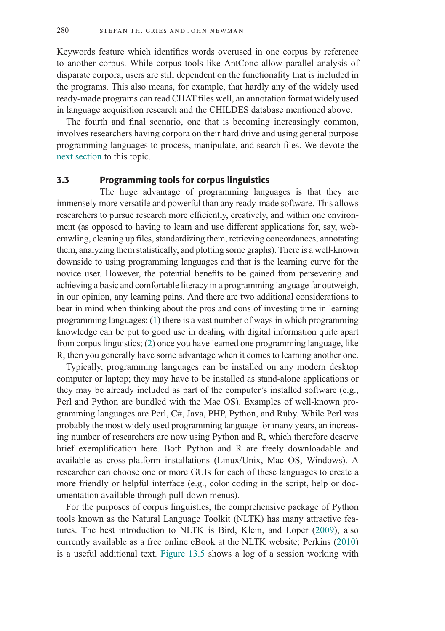Keywords feature which identifies words overused in one corpus by reference to another corpus. While corpus tools like AntConc allow parallel analysis of disparate corpora, users are still dependent on the functionality that is included in the programs. This also means, for example, that hardly any of the widely used ready-made programs can read CHAT files well, an annotation format widely used in language acquisition research and the CHILDES database mentioned above.

The fourth and final scenario, one that is becoming increasingly common, involves researchers having corpora on their hard drive and using general purpose programming languages to process, manipulate, and search files. We devote the next section to this topic.

#### 3.3 Programming tools for corpus linguistics

The huge advantage of programming languages is that they are immensely more versatile and powerful than any ready-made software. This allows researchers to pursue research more efficiently, creatively, and within one environment (as opposed to having to learn and use different applications for, say, webcrawling, cleaning up files, standardizing them, retrieving concordances, annotating them, analyzing them statistically, and plotting some graphs). There is a well-known downside to using programming languages and that is the learning curve for the novice user. However, the potential benefits to be gained from persevering and achieving a basic and comfortable literacy in a programming language far outweigh, in our opinion, any learning pains. And there are two additional considerations to bear in mind when thinking about the pros and cons of investing time in learning programming languages: [\(1\)](#page-9-1) there is a vast number of ways in which programming knowledge can be put to good use in dealing with digital information quite apart from corpus linguistics; ([2\)](#page-11-0) once you have learned one programming language, like R, then you generally have some advantage when it comes to learning another one.

Typically, programming languages can be installed on any modern desktop computer or laptop; they may have to be installed as stand-alone applications or they may be already included as part of the computer's installed software (e.g., Perl and Python are bundled with the Mac OS). Examples of well-known programming languages are Perl, C#, Java, PHP, Python, and Ruby. While Perl was probably the most widely used programming language for many years, an increasing number of researchers are now using Python and R, which therefore deserve brief exemplification here. Both Python and R are freely downloadable and available as cross-platform installations (Linux/Unix, Mac OS, Windows). A researcher can choose one or more GUIs for each of these languages to create a more friendly or helpful interface (e.g., color coding in the script, help or documentation available through pull-down menus).

For the purposes of corpus linguistics, the comprehensive package of Python tools known as the Natural Language Toolkit (NLTK) has many attractive features. The best introduction to NLTK is Bird, Klein, and Loper ([2009](#page-28-2)), also currently available as a free online eBook at the NLTK website; Perkins [\(2010](#page-30-1)) is a useful additional text. [Figure 13.5](#page-24-0) shows a log of a session working with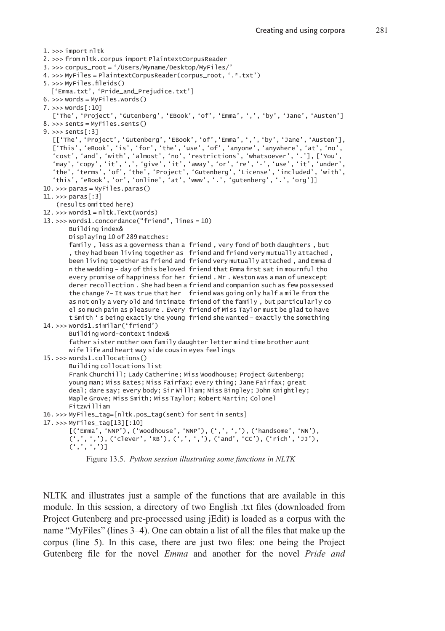```
1. >>> import nltk
2. >>> from nltk.corpus import PlaintextCorpusReader
3. >>> corpus_root = '/Users/Myname/Desktop/MyFiles/'
4. >>> MyFiles = PlaintextCorpusReader(corpus_root, '.*.txt')
5. >>> MyFiles.fileids()
  ['Emma.txt', 'Pride_and_Prejudice.txt']
6. >>> words = MyFiles.words()
7. >>> words[:10]
  ['The', 'Project', 'Gutenberg', 'EBook', 'of', 'Emma', ',', 'by', 'Jane', 'Austen']
8. \gg\gt sents = MyFiles.sents()
9. >>> sents[:3]
  [['The', 'Project', 'Gutenberg', 'EBook', 'of','Emma', ',', 'by', 'Jane', 'Austen'],
  ['This', 'eBook', 'is', 'for', 'the', 'use', 'of', 'anyone', 'anywhere', 'at', 'no',
  'cost', 'and', 'with', 'almost', 'no', 'restrictions', 'whatsoever', '.'], ['You',
  'may', 'copy', 'it', ',', 'give', 'it', 'away', 'or', 're', '-', 'use', 'it', 'under',
  'the', 'terms', 'of', 'the', 'Project', 'Gutenberg', 'License', 'included', 'with',
  'this', 'eBook', 'or', 'online', 'at', 'www', '.', 'gutenberg', '.', 'org']]
10. >>> paras = MyFiles.paras()
11. >>> paras[:3]
   (results omitted here)
12. >>> words1 = nltk.Text(words)
13. >>> words1.concordance("friend", lines = 10)
       Building index&
       Displaying 10 of 289 matches:
       family , less as a governess than a friend , very fond of both daughters , but
       , they had been living together as friend and friend very mutually attached ,
       been living together as friend and friend very mutually attached , and Emma d
       n the wedding – day of this beloved friend that Emma first sat in mournful tho
       every promise of happiness for her friend . Mr . Weston was a man of unexcept
       derer recollection . She had been a friend and companion such as few possessed
       the change ?– It was true that her friend was going only half a mile from the
       as not only a very old and intimate friend of the family , but particularly co
       el so much pain as pleasure . Every friend of Miss Taylor must be glad to have
       t Smith ' s being exactly the young friend she wanted – exactly the something
14. >>> words1.similar('friend')
       Building word-context index&
       father sister mother own family daughter letter mind time brother aunt
       wife life and heart way side cousin eyes feelings
15. >>> words1.collocations()
       Building collocations list
       Frank Churchill; Lady Catherine; Miss Woodhouse; Project Gutenberg;
       young man; Miss Bates; Miss Fairfax; every thing; Jane Fairfax; great
       deal; dare say; every body; Sir William; Miss Bingley; John Knightley;
       Maple Grove; Miss Smith; Miss Taylor; Robert Martin; Colonel
       Fitzwilliam
16. >>> MyFiles_tag=[nltk.pos_tag(sent) for sent in sents]
17. >>> MyFiles_tag[13][:10]
       [('Emma', 'NNP'), ('Woodhouse', 'NNP'), (',',','), ('handsome', 'NN'),
       (',', ','), ('clever', 'RB'), (',', ','), ('and', 'CC'), ('rich', 'JJ'),
       (', ', ',')]
            Figure 13.5. Python session illustrating some functions in NLTK
```
NLTK and illustrates just a sample of the functions that are available in this module. In this session, a directory of two English .txt files (downloaded from Project Gutenberg and pre-processed using jEdit) is loaded as a corpus with the name "MyFiles" (lines 3–4). One can obtain a list of all the files that make up the corpus (line 5). In this case, there are just two files: one being the Project Gutenberg file for the novel *Emma* and another for the novel *Pride and*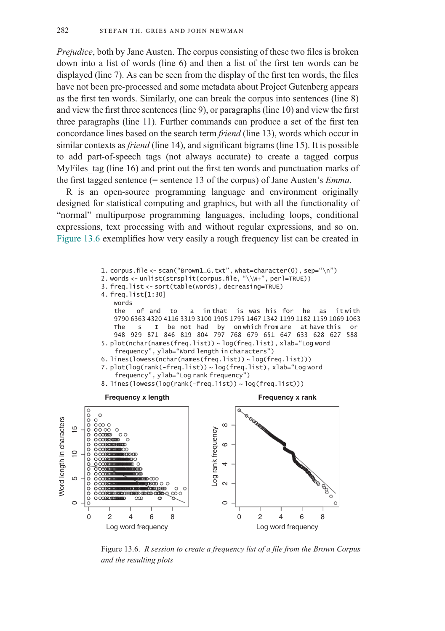<span id="page-25-0"></span>Prejudice, both by Jane Austen. The corpus consisting of these two files is broken down into a list of words (line 6) and then a list of the first ten words can be displayed (line 7). As can be seen from the display of the first ten words, the files have not been pre-processed and some metadata about Project Gutenberg appears as the first ten words. Similarly, one can break the corpus into sentences (line 8) and view the first three sentences (line 9), or paragraphs (line 10) and view the first three paragraphs (line 11). Further commands can produce a set of the first ten concordance lines based on the search term friend (line 13), words which occur in similar contexts as friend (line 14), and significant bigrams (line 15). It is possible to add part-of-speech tags (not always accurate) to create a tagged corpus MyFiles tag (line 16) and print out the first ten words and punctuation marks of the first tagged sentence (= sentence 13 of the corpus) of Jane Austen's Emma.

R is an open-source programming language and environment originally designed for statistical computing and graphics, but with all the functionality of "normal" multipurpose programming languages, including loops, conditional expressions, text processing with and without regular expressions, and so on. [Figure 13.6](#page-25-0) exemplifies how very easily a rough frequency list can be created in



Figure 13.6. R session to create a frequency list of a file from the Brown Corpus and the resulting plots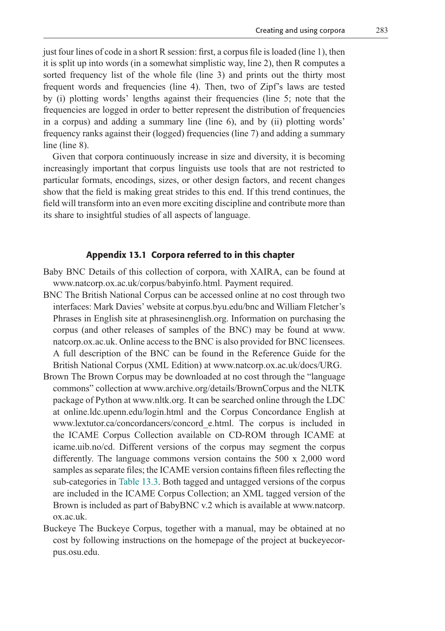<span id="page-26-0"></span>just four lines of code in a short R session: first, a corpus file is loaded (line 1), then it is split up into words (in a somewhat simplistic way, line 2), then R computes a sorted frequency list of the whole file (line 3) and prints out the thirty most frequent words and frequencies (line 4). Then, two of Zipf's laws are tested by (i) plotting words' lengths against their frequencies (line 5; note that the frequencies are logged in order to better represent the distribution of frequencies in a corpus) and adding a summary line (line 6), and by (ii) plotting words' frequency ranks against their (logged) frequencies (line 7) and adding a summary line (line 8).

Given that corpora continuously increase in size and diversity, it is becoming increasingly important that corpus linguists use tools that are not restricted to particular formats, encodings, sizes, or other design factors, and recent changes show that the field is making great strides to this end. If this trend continues, the field will transform into an even more exciting discipline and contribute more than its share to insightful studies of all aspects of language.

#### Appendix 13.1 Corpora referred to in this chapter

- Baby BNC Details of this collection of corpora, with XAIRA, can be found at www.natcorp.ox.ac.uk/corpus/babyinfo.html. Payment required.
- BNC The British National Corpus can be accessed online at no cost through two interfaces: Mark Davies' website at corpus.byu.edu/bnc and William Fletcher's Phrases in English site at phrasesinenglish.org. Information on purchasing the corpus (and other releases of samples of the BNC) may be found at [www.](http://www.natcorp.ox.ac.uk) [natcorp.ox.ac.uk.](http://www.natcorp.ox.ac.uk) Online access to the BNC is also provided for BNC licensees. A full description of the BNC can be found in the Reference Guide for the British National Corpus (XML Edition) at [www.natcorp.ox.ac.uk/docs/URG.](http://www.natcorp.ox.ac.uk/docs/URG)
- Brown The Brown Corpus may be downloaded at no cost through the "language commons" collection at [www.archive.org/details/BrownCorpus](http://www.archive.org/details/BrownCorpus) and the NLTK package of Python at [www.nltk.org](http://www.nltk.org). It can be searched online through the LDC at online.ldc.upenn.edu/login.html and the Corpus Concordance English at [www.lextutor.ca/concordancers/concord\\_e.html.](http://www.lextutor.ca/concordancers/concord_e.html) The corpus is included in the ICAME Corpus Collection available on CD-ROM through ICAME at icame.uib.no/cd. Different versions of the corpus may segment the corpus differently. The language commons version contains the 500 x 2,000 word samples as separate files; the ICAME version contains fifteen files reflecting the sub-categories in [Table 13.3](#page-13-0). Both tagged and untagged versions of the corpus are included in the ICAME Corpus Collection; an XML tagged version of the Brown is included as part of BabyBNC v.2 which is available at [www.natcorp.](http://www.natcorp.ox.ac.uk) [ox.ac.uk](http://www.natcorp.ox.ac.uk).
- Buckeye The Buckeye Corpus, together with a manual, may be obtained at no cost by following instructions on the homepage of the project at buckeyecorpus.osu.edu.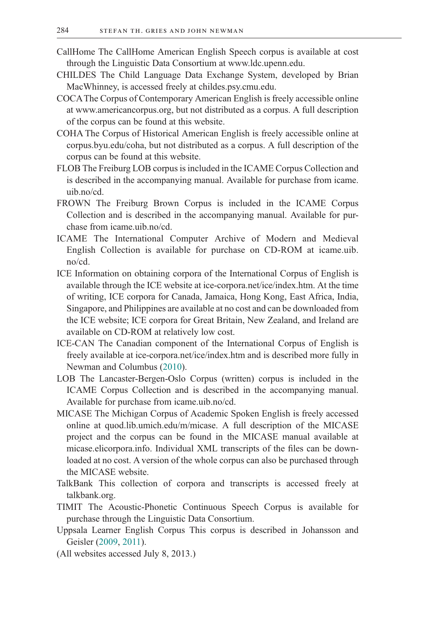- CallHome The CallHome American English Speech corpus is available at cost through the Linguistic Data Consortium at [www.ldc.upenn.edu.](http://www.ldc.upenn.edu)
- CHILDES The Child Language Data Exchange System, developed by Brian MacWhinney, is accessed freely at childes.psy.cmu.edu.
- COCAThe Corpus of Contemporary American English is freely accessible online at [www.americancorpus.org,](http://www.americancorpus.org) but not distributed as a corpus. A full description of the corpus can be found at this website.
- COHA The Corpus of Historical American English is freely accessible online at corpus.byu.edu/coha, but not distributed as a corpus. A full description of the corpus can be found at this website.
- FLOB The Freiburg LOB corpus is included in the ICAME Corpus Collection and is described in the accompanying manual. Available for purchase from icame. uib.no/ $cd$ .
- FROWN The Freiburg Brown Corpus is included in the ICAME Corpus Collection and is described in the accompanying manual. Available for purchase from icame.uib.no/cd.
- ICAME The International Computer Archive of Modern and Medieval English Collection is available for purchase on CD-ROM at icame.uib. no/cd.
- ICE Information on obtaining corpora of the International Corpus of English is available through the ICE website at ice-corpora.net/ice/index.htm. At the time of writing, ICE corpora for Canada, Jamaica, Hong Kong, East Africa, India, Singapore, and Philippines are available at no cost and can be downloaded from the ICE website; ICE corpora for Great Britain, New Zealand, and Ireland are available on CD-ROM at relatively low cost.
- ICE-CAN The Canadian component of the International Corpus of English is freely available at ice-corpora.net/ice/index.htm and is described more fully in Newman and Columbus ([2010](#page-30-1)).
- LOB The Lancaster-Bergen-Oslo Corpus (written) corpus is included in the ICAME Corpus Collection and is described in the accompanying manual. Available for purchase from icame.uib.no/cd.
- MICASE The Michigan Corpus of Academic Spoken English is freely accessed online at quod.lib.umich.edu/m/micase. A full description of the MICASE project and the corpus can be found in the MICASE manual available at micase.elicorpora.info. Individual XML transcripts of the files can be downloaded at no cost. A version of the whole corpus can also be purchased through the MICASE website.
- TalkBank This collection of corpora and transcripts is accessed freely at talkbank.org.
- TIMIT The Acoustic-Phonetic Continuous Speech Corpus is available for purchase through the Linguistic Data Consortium.
- Uppsala Learner English Corpus This corpus is described in Johansson and Geisler ([2009,](#page-29-1) [2011](#page-29-0)).
- (All websites accessed July 8, 2013.)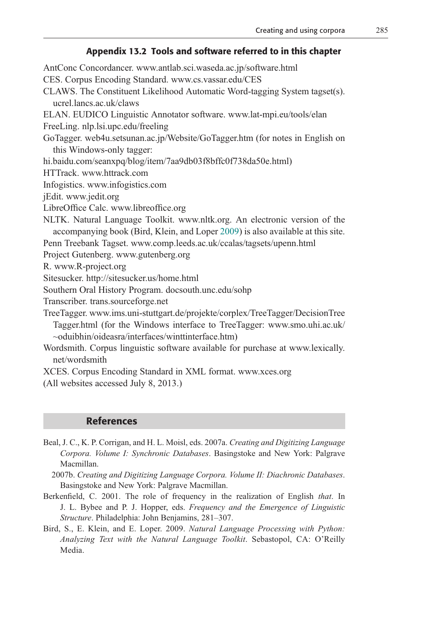# Appendix 13.2 Tools and software referred to in this chapter

<span id="page-28-2"></span><span id="page-28-1"></span><span id="page-28-0"></span>

# **References**

- Beal, J. C., K. P. Corrigan, and H. L. Moisl, eds. 2007a. Creating and Digitizing Language Corpora. Volume I: Synchronic Databases. Basingstoke and New York: Palgrave Macmillan.
	- 2007b. Creating and Digitizing Language Corpora. Volume II: Diachronic Databases. Basingstoke and New York: Palgrave Macmillan.
- Berkenfield, C. 2001. The role of frequency in the realization of English that. In J. L. Bybee and P. J. Hopper, eds. Frequency and the Emergence of Linguistic Structure. Philadelphia: John Benjamins, 281–307.
- Bird, S., E. Klein, and E. Loper. 2009. Natural Language Processing with Python: Analyzing Text with the Natural Language Toolkit. Sebastopol, CA: O'Reilly Media.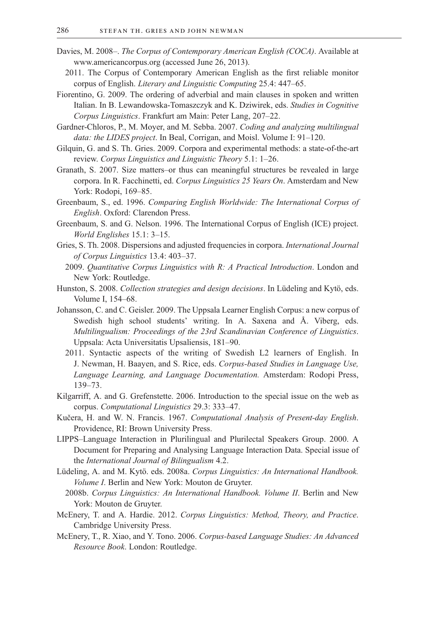- <span id="page-29-1"></span><span id="page-29-0"></span>Davies, M. 2008–. The Corpus of Contemporary American English (COCA). Available at [www.americancorpus.org](http://www.americancorpus.org) (accessed June 26, 2013).
	- 2011. The Corpus of Contemporary American English as the first reliable monitor corpus of English. Literary and Linguistic Computing 25.4: 447–65.
- Fiorentino, G. 2009. The ordering of adverbial and main clauses in spoken and written Italian. In B. Lewandowska-Tomaszczyk and K. Dziwirek, eds. Studies in Cognitive Corpus Linguistics. Frankfurt am Main: Peter Lang, 207–22.
- Gardner-Chloros, P., M. Moyer, and M. Sebba. 2007. Coding and analyzing multilingual data: the LIDES project. In Beal, Corrigan, and Moisl. Volume I: 91–120.
- Gilquin, G. and S. Th. Gries. 2009. Corpora and experimental methods: a state-of-the-art review. Corpus Linguistics and Linguistic Theory 5.1: 1–26.
- Granath, S. 2007. Size matters–or thus can meaningful structures be revealed in large corpora. In R. Facchinetti, ed. Corpus Linguistics 25 Years On. Amsterdam and New York: Rodopi, 169–85.
- Greenbaum, S., ed. 1996. Comparing English Worldwide: The International Corpus of English. Oxford: Clarendon Press.
- Greenbaum, S. and G. Nelson. 1996. The International Corpus of English (ICE) project. World Englishes 15.1: 3–15.
- Gries, S. Th. 2008. Dispersions and adjusted frequencies in corpora. International Journal of Corpus Linguistics 13.4: 403–37.
	- 2009. Quantitative Corpus Linguistics with R: A Practical Introduction. London and New York: Routledge.
- Hunston, S. 2008. Collection strategies and design decisions. In Lüdeling and Kytö, eds. Volume I, 154–68.
- Johansson, C. and C. Geisler. 2009. The Uppsala Learner English Corpus: a new corpus of Swedish high school students' writing. In A. Saxena and Å. Viberg, eds. Multilingualism: Proceedings of the 23rd Scandinavian Conference of Linguistics. Uppsala: Acta Universitatis Upsaliensis, 181–90.
	- 2011. Syntactic aspects of the writing of Swedish L2 learners of English. In J. Newman, H. Baayen, and S. Rice, eds. Corpus-based Studies in Language Use, Language Learning, and Language Documentation. Amsterdam: Rodopi Press, 139–73.
- Kilgarriff, A. and G. Grefenstette. 2006. Introduction to the special issue on the web as corpus. Computational Linguistics 29.3: 333–47.
- Kučera, H. and W. N. Francis. 1967. Computational Analysis of Present-day English. Providence, RI: Brown University Press.
- LIPPS–Language Interaction in Plurilingual and Plurilectal Speakers Group. 2000. A Document for Preparing and Analysing Language Interaction Data. Special issue of the International Journal of Bilingualism 4.2.
- Lüdeling, A. and M. Kytö. eds. 2008a. Corpus Linguistics: An International Handbook. Volume I. Berlin and New York: Mouton de Gruyter.
	- 2008b. Corpus Linguistics: An International Handbook. Volume II. Berlin and New York: Mouton de Gruyter.
- McEnery, T. and A. Hardie. 2012. Corpus Linguistics: Method, Theory, and Practice. Cambridge University Press.
- McEnery, T., R. Xiao, and Y. Tono. 2006. Corpus-based Language Studies: An Advanced Resource Book. London: Routledge.